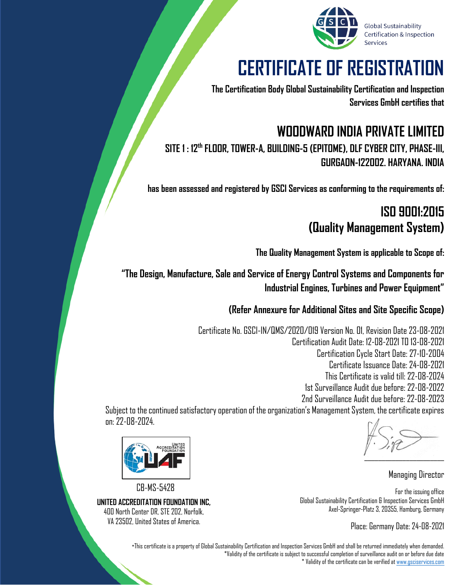

# **CERTIFICATE OF REGISTRATION**

**The Certification Body Global Sustainability Certification and Inspection Services GmbH certifies that**

#### **WOODWARD INDIA PRIVATE LIMITED SITE 1 : 12th FLOOR, TOWER-A, BUILDING-5 (EPITOME), DLF CYBER CITY, PHASE-III, GURGAON-122002. HARYANA. INDIA**

**has been assessed and registered by GSCI Services as conforming to the requirements of:**

#### **ISO 9001:2015 (Quality Management System)**

**The Quality Management System is applicable to Scope of:**

**"The Design, Manufacture, Sale and Service of Energy Control Systems and Components for Industrial Engines, Turbines and Power Equipment"**

**(Refer Annexure for Additional Sites and Site Specific Scope)**

Certificate No. GSCI-IN/QMS/2020/019 Version No. 01, Revision Date 23-08-2021 Certification Audit Date: 12-08-2021 TO 13-08-2021 Certification Cycle Start Date: 27-10-2004 Certificate Issuance Date: 24-08-2021 This Certificate is valid till: 22-08-2024 1st Surveillance Audit due before: 22-08-2022 2nd Surveillance Audit due before: 22-08-2023

Subject to the continued satisfactory operation of the organization's Management System, the certificate expires on: 22-08-2024.



CB-MS-5428

**UNITED ACCREDITATION FOUNDATION INC,** 400 North Center DR, STE 202, Norfolk, VA 23502, United States of America.

 $\sum_{i=1}^n\frac{1}{(i-1)!}\sum_{j=1}^n\frac{1}{(j-1)!}\sum_{j=1}^n\frac{1}{(j-1)!}\sum_{j=1}^n\frac{1}{(j-1)!}\sum_{j=1}^n\frac{1}{(j-1)!}\sum_{j=1}^n\frac{1}{(j-1)!}\sum_{j=1}^n\frac{1}{(j-1)!}\sum_{j=1}^n\frac{1}{(j-1)!}\sum_{j=1}^n\frac{1}{(j-1)!}\sum_{j=1}^n\frac{1}{(j-1)!}\sum_{j=1}^n\frac{1}{(j-1)!}\sum_{j=1}^n\frac$ 

Managing Director

For the issuing office Global Sustainability Certification & Inspection Services GmbH Axel-Springer-Platz 3, 20355, Hamburg, Germany

Place: Germany Date: 24-08-2021

\*This certificate is a property of Global Sustainability Certification and Inspection Services GmbH and shall be returned immediately when demanded. \*Validity of the certificate is subject to successful completion of surveillance audit on or before due date \* Validity of the certificate can be verified a[t www.gsciservices.com](http://www.gsciservices.com/)